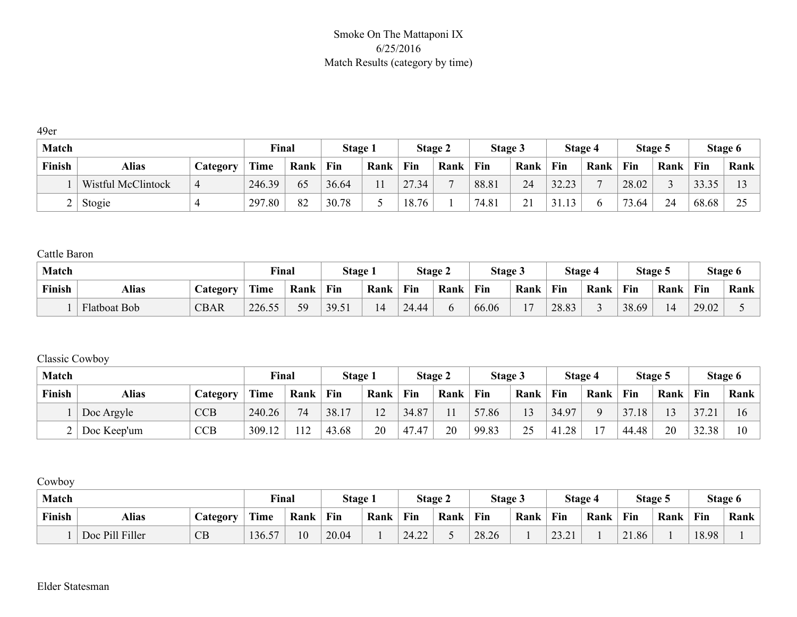#### Smoke On The Mattaponi IX 6/25/2016 Match Results (category by time)

49er

| <b>Match</b> |                    |          | Final       |      | Stage 1 |      |            | Stage 2 | Stage 3 |             |       | Stage 4        |       | Stage 5 |       | Stage 6  |
|--------------|--------------------|----------|-------------|------|---------|------|------------|---------|---------|-------------|-------|----------------|-------|---------|-------|----------|
| Finish       | <b>Alias</b>       | Category | <b>Time</b> | Rank | Fin     | Rank | Fin        | Rank    | Fin     | Rank        | Fin   | Rank           | Fin   | Rank    | Fin   | Rank     |
|              | Wistful McClintock | 4        | 246.39      | 65   | 36.64   | 11   | 27.<br>.34 |         | 88.81   | 24          | 32.23 | $\overline{ }$ | 28.02 |         | 33.35 |          |
|              | Stogie             |          | 297.80      | 82   | 30.78   |      | 18.76      |         | 74.81   | $\sim$<br>◢ | 31.13 |                | 73.64 | 24      | 68.68 | $\Omega$ |

Cattle Baron

| <b>Match</b> |                     |                       | <b>Final</b>     |      | Stage 1 |      |       | Stage 2 | Stage 3 |      |       | Stage 4 |       | Stage 5 |       | Stage 6 |
|--------------|---------------------|-----------------------|------------------|------|---------|------|-------|---------|---------|------|-------|---------|-------|---------|-------|---------|
| Finish       | Alias               | $\mathcal{L}$ ategory | Time             | Rank | Fin     | Rank | Fin   | Rank    | Fin     | Rank | Fin   | Rank    | Fin   | Rank    | Fin   | Rank    |
|              | <b>Flatboat Bob</b> | <b>CBAR</b>           | 226.55<br>$\sim$ | 59   | 39.51   |      | 24.44 |         | 66.06   |      | 28.83 |         | 38.69 |         | 29.02 |         |

#### Classic Cowboy

| <b>Match</b> |             |            | Final  |      | Stage 1 |        |       | Stage 2 | Stage 3 |                 |       | <b>Stage 4</b> |       | Stage 5 |       | Stage 6 |
|--------------|-------------|------------|--------|------|---------|--------|-------|---------|---------|-----------------|-------|----------------|-------|---------|-------|---------|
| Finish       | Alias       | Category   | Time   | Rank | Fin     | Rank   | Fin   | Rank    | Fin     | Rank            | Fin   | Rank           | Fin   | Rank    | Fin   | Rank    |
|              | Doc Argyle  | <b>CCB</b> | 240.26 | 74   | 38.17   | $\sim$ | 34.87 |         | 57.86   | 1 <sub>2</sub>  | 34.97 | $\Omega$       | 37.18 | 13      | 37.   | 16      |
|              | Doc Keep'um | <b>CCB</b> | 309.12 | 112  | 43.68   | 20     | 47.47 | 20      | 99.83   | $\gamma$<br>ر ب | 41.28 | 17             | 44.48 | 20      | 32.38 |         |

Cowboy

| <b>Match</b> |                 |                 | Final  |      | <b>Stage 1</b> |      |                       | <b>Stage 2</b> | <b>Stage 3</b> |      |       | Stage 4 | Stage 5    |      |       | Stage 6 |
|--------------|-----------------|-----------------|--------|------|----------------|------|-----------------------|----------------|----------------|------|-------|---------|------------|------|-------|---------|
| Finish       | Alias           | <b>Category</b> | Time   | Rank | Fin            | Rank | Fin                   | Rank           | Fin            | Rank | Fin   | Rank    | <b>Fin</b> | Rank | Fin   | Rank    |
|              | Doc Pill Filler | CB              | 136.57 | 10   | 20.04          |      | 24.22<br>$\mathbf{A}$ |                | 28.26          |      | 23.21 |         | 21.86      |      | 18.98 |         |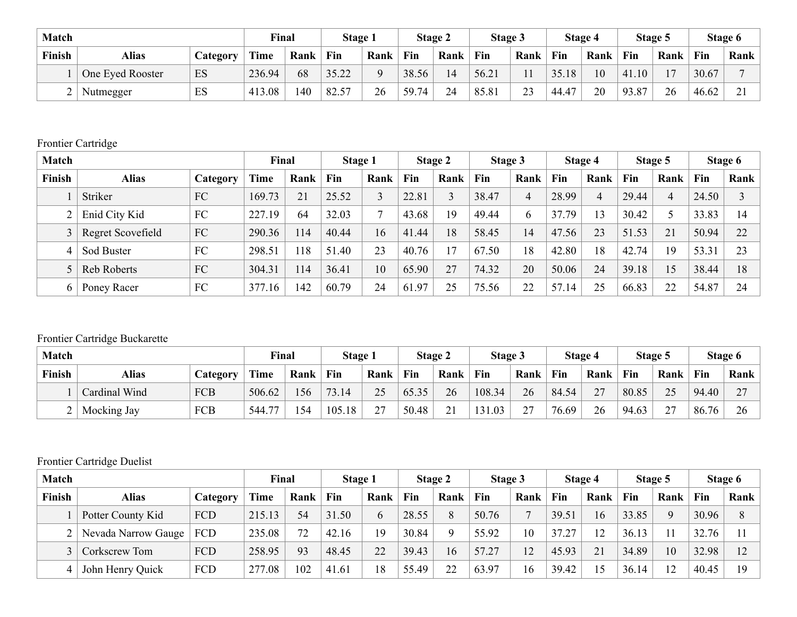| <b>Match</b> |                  |          | Final       |      | Stage 1        |      |       | Stage 2 | Stage 3 |                      |       | Stage 4 |       | Stage 5 |       | Stage 6        |
|--------------|------------------|----------|-------------|------|----------------|------|-------|---------|---------|----------------------|-------|---------|-------|---------|-------|----------------|
| Finish       | Alias            | Category | <b>Time</b> | Rank | Fin            | Rank | Fin   | Rank    | Fin     | Rank                 | Fin   | Rank    | Fin   | Rank    | Fin   | Rank           |
|              | One Eyed Rooster | ES       | 236.94      | 68   | 3522<br>⊿∠.د ر |      | 38.56 | 14      | 56.21   |                      | 35.18 | 10      | 41.10 |         | 30.67 |                |
| ∸            | Nutmegger        | ES       | 413.08      | 40   | $+82.57$       | 26   | 59.74 | 24      | 85.81   | 2 <sub>2</sub><br>ر_ | 44.47 | 20      | 93.87 | 26      | 46.62 | $\sim$ 1<br>້⊥ |

#### Frontier Cartridge

| <b>Match</b> |                   |          | Final       |      | Stage 1 |      |       | Stage 2 | Stage 3 |                 |       | Stage 4        |       | Stage 5 |       | Stage 6 |
|--------------|-------------------|----------|-------------|------|---------|------|-------|---------|---------|-----------------|-------|----------------|-------|---------|-------|---------|
| Finish       | <b>Alias</b>      | Category | <b>Time</b> | Rank | Fin     | Rank | Fin   | Rank    | Fin     | Rank            | Fin   | Rank           | Fin   | Rank    | Fin   | Rank    |
|              | Striker           | FC       | 169.73      | 21   | 25.52   |      | 22.81 |         | 38.47   | 4               | 28.99 | $\overline{4}$ | 29.44 | 4       | 24.50 |         |
|              | Enid City Kid     | FC       | 227.19      | 64   | 32.03   |      | 43.68 | 19      | 49.44   | 6               | 37.79 | 13             | 30.42 |         | 33.83 | 14      |
|              | Regret Scovefield | FC       | 290.36      | 114  | 40.44   | 16   | 41.44 | 18      | 58.45   | $\overline{14}$ | 47.56 | 23             | 51.53 | 21      | 50.94 | 22      |
| 4            | Sod Buster        | FC       | 298.51      | 118  | 51.40   | 23   | 40.76 | 7       | 67.50   | 18              | 42.80 | 18             | 42.74 | 19      | 53.31 | 23      |
|              | Reb Roberts       | FC       | 304.31      | 114  | 36.41   | 10   | 65.90 | 27      | 74.32   | 20              | 50.06 | 24             | 39.18 | 15      | 38.44 | 18      |
| 6            | Poney Racer       | FC       | 377.16      | 142  | 60.79   | 24   | 61.97 | 25      | 75.56   | 22              | 57.14 | 25             | 66.83 | 22      | 54.87 | 24      |

# Frontier Cartridge Buckarette

| <b>Match</b> |               |            | Final       |      | Stage 1 |      |       | Stage 2  | Stage 3 |               |       | Stage 4 |       | Stage 5   |       | Stage 6                  |
|--------------|---------------|------------|-------------|------|---------|------|-------|----------|---------|---------------|-------|---------|-------|-----------|-------|--------------------------|
| Finish       | Alias         | Category   | <b>Time</b> | Rank | Fin     | Rank | Fin   | Rank     | Fin     | Rank          | Fin   | Rank    | Fin   | Rank      | Fin   | Rank                     |
|              | Cardinal Wind | <b>FCB</b> | 506.62      | 156  | 73.14   | 25   | 65.35 | 26       | 108.34  | 26            | 84.54 | 27      | 80.85 | 25        | 94.40 | $\mathbf{z}$<br><u>_</u> |
|              | Mocking Jay   | <b>FCB</b> | 77<br>544.7 | 54   | 105.18  | 27   | 50.48 | $\sim$ 1 | 131.03  | $\mathcal{L}$ | 76.69 | 26      | 94.63 | 27<br>∸ ' | 86.76 | 26                       |

# Frontier Cartridge Duelist

| <b>Match</b> |                           |          | Final  |      | Stage 1 |      |       | Stage 2     | Stage 3 |      |       | Stage 4 |       | Stage 5  |       | Stage 6 |
|--------------|---------------------------|----------|--------|------|---------|------|-------|-------------|---------|------|-------|---------|-------|----------|-------|---------|
| Finish       | <b>Alias</b>              | Category | Time   | Rank | Fin     | Rank | Fin   | Rank        | Fin     | Rank | Fin   | Rank    | Fin   | Rank     | Fin   | Rank    |
|              | Potter County Kid         | FCD      | 215.13 | 54   | 31.50   | b    | 28.55 | 8           | 50.76   |      | 39.51 | 16      | 33.85 | $\Omega$ | 30.96 | 8       |
|              | Nevada Narrow Gauge   FCD |          | 235.08 | 72   | 42.16   | 19   | 30.84 | $\mathbf Q$ | 55.92   | 10   | 37.27 | 12      | 36.13 |          | 32.76 |         |
|              | Corkscrew Tom             | FCD      | 258.95 | 93   | 48.45   | 22   | 39.43 | 16          | 57.27   | 12   | 45.93 | 21      | 34.89 | 10       | 32.98 | 12      |
|              | John Henry Quick          | FCD      | 277.08 | 102  | 41.61   | 18   | 55.49 | 22          | 63.97   | 16   | 39.42 | 15      | 36.14 | 12       | 40.45 | 19      |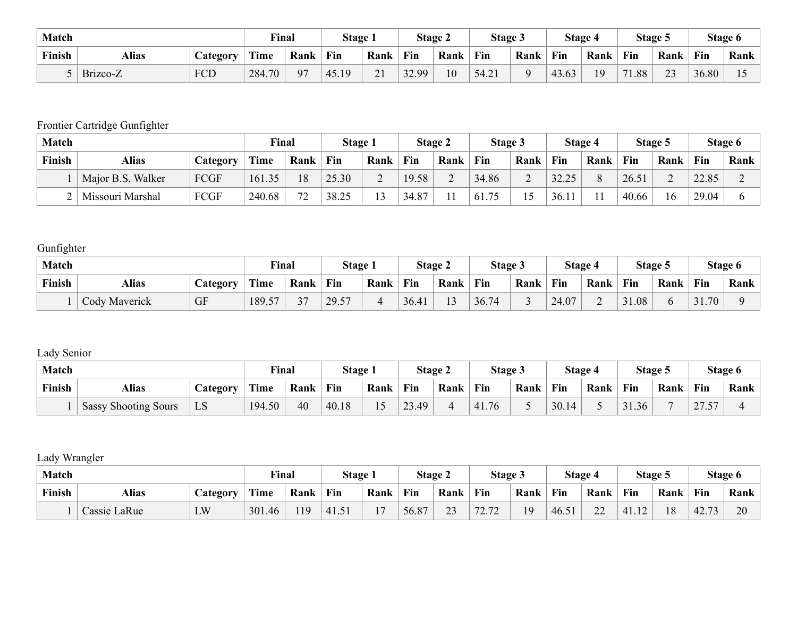| <b>Match</b> |          |                 | <b>Final</b> |      | Stage 1 |                      |       | <b>Stage 2</b> | Stage 3 |      |       | Stage 4 |               | Stage 5 |            | Stage 6 |
|--------------|----------|-----------------|--------------|------|---------|----------------------|-------|----------------|---------|------|-------|---------|---------------|---------|------------|---------|
| Finish       | Alias    | <b>Lategory</b> | Time         | Rank | Fin     | Rank                 | Fin   | Rank           | Fin     | Rank | Fin   | Rank    | Fin           | Rank    | <b>Fin</b> | Rank    |
|              | Brizco-Z | <b>FCD</b>      | 284.70       | 97   | 45.19   | $\sim$ 1<br>$\sim$ 1 | 32.99 | 10             | 54.21   |      | 43.63 | 19      | 1.88<br>$-11$ | 23      | 36.80      |         |

# Frontier Cartridge Gunfighter

| <b>Match</b> |                   |          | Final       |      | Stage 1 |      |       | Stage 2 | Stage 3 |      |       | Stage 4  |            | Stage 5     |       | Stage 6 |
|--------------|-------------------|----------|-------------|------|---------|------|-------|---------|---------|------|-------|----------|------------|-------------|-------|---------|
| Finish       | Alias             | Category | <b>Time</b> | Rank | Fin     | Rank | Fin   | Rank    | Fin     | Rank | Fin   | Rank     | <b>Fin</b> | Rank        | Fin   | Rank    |
|              | Major B.S. Walker | FCGF     | 161.35      | 18   | 25.30   | ∠    | 19.58 |         | 34.86   |      | 32.25 | $\Omega$ | 26.51      | $\sim$<br>∠ | 22.85 |         |
|              | Missouri Marshal  | FCGF     | 240.68      | 72   | 38.25   | 1 ^  | 34.87 |         | 61.75   |      | 36.11 | 11       | 40.66      | 16          | 29.04 |         |

# **Gunfighter**

| <b>Match</b> |                      |                 | Final                             |                 | Stage 1 |      |      | <b>Stage 2</b> | Stage 3 |      |       | Stage 4                  |       | Stage 5 |                 | Stage 6 |
|--------------|----------------------|-----------------|-----------------------------------|-----------------|---------|------|------|----------------|---------|------|-------|--------------------------|-------|---------|-----------------|---------|
| Finish       | Alias                | <b>Category</b> | <b>Time</b>                       | Rank            | Fin     | Rank | Fin  | Rank           | Fin     | Rank | Fin   | Rank                     | Fin   | Rank    | Fin             | Rank    |
|              | <b>Cody Maverick</b> | <b>GF</b>       | 189.5<br>$\overline{\phantom{a}}$ | $\mathbf{\sim}$ | 29.57   | ∸    | 36.4 | $\sim$         | 36.74   |      | 24.07 | $\overline{\phantom{0}}$ | 31.08 |         | 70<br>21<br>31. |         |

# Lady Senior

| <b>Match</b> |                             |                 | <b>Final</b> |      | Stage 1 |      |                              | Stage 2 | Stage 3 |      |       | Stage 4 | Stage 5 |      |                                      | Stage 6   |
|--------------|-----------------------------|-----------------|--------------|------|---------|------|------------------------------|---------|---------|------|-------|---------|---------|------|--------------------------------------|-----------|
| Finish       | <b>Alias</b>                | <b>Category</b> | Time         | Rank | Fin     | Rank | Fin                          | Rank    | Fin     | Rank | Fin   | Rank    | Fin     | Rank | Fin                                  | Rank      |
|              | <b>Sassy Shooting Sours</b> | LD              | 194.50       | 40   | 40.18   |      | $\mathcal{L}$<br>,49<br>-. ب |         | 41.76   |      | 30.14 |         | 31.36   |      | $\mathbf{z}$<br>$-$<br>$\sim$ $\sim$ | <b>44</b> |

# Lady Wrangler

| <b>Match</b> |              |                 | Find        |      | Stage 1 |      | Stage 2    |              | Stage 3                |      | Stage 4 |      | Stage 5       |      | Stage 6                         |      |
|--------------|--------------|-----------------|-------------|------|---------|------|------------|--------------|------------------------|------|---------|------|---------------|------|---------------------------------|------|
| Finish       | <b>Alias</b> | <i>Category</i> | <b>Time</b> | Rank | Fin     | Rank | Fin        | Rank         | Fin                    | Rank | Fin     | Rank | <b>Fin</b>    | Rank | Fin                             | Rank |
|              | Cassie LaRue | LW              | 301.46      | 119  | 141.5.  |      | 56.8<br>O7 | $\sim$<br>ر_ | 72.72<br>$\sim$ $\sim$ | 19   | 46.5.   | 22   | 41 12<br>1.14 | 18   | 42.<br>$\overline{\phantom{a}}$ | 20   |